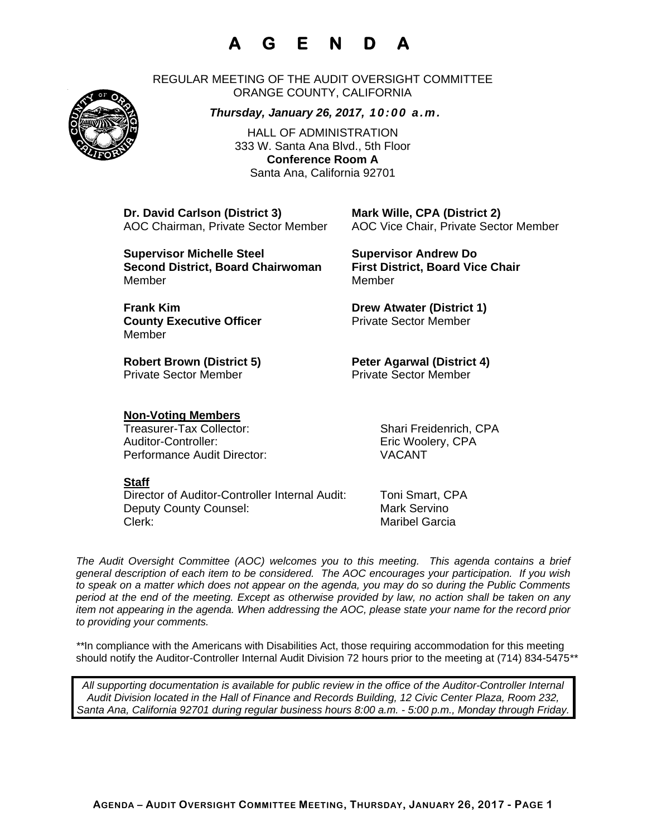# **A G E N D A**

REGULAR MEETING OF THE AUDIT OVERSIGHT COMMITTEE ORANGE COUNTY, CALIFORNIA

#### *Thursday, January 26, 2017, 10:00 a.m.*

HALL OF ADMINISTRATION 333 W. Santa Ana Blvd., 5th Floor **Conference Room A**  Santa Ana, California 92701

**Dr. David Carlson (District 3) Mark Wille, CPA (District 2)**

AOC Chairman, Private Sector Member AOC Vice Chair, Private Sector Member

**Supervisor Michelle Steel Supervisor Andrew Do Second District, Board Chairwoman First District, Board Vice Chair**  MemberMember

**Frank Kim Drew Atwater (District 1) County Executive Officer Private Sector Member** 

Robert Brown (District 5) **Peter Agarwal (District 4)** Private Sector Member **Private Sector Member** 

### **Non-Voting Members**

Treasurer-Tax Collector: Shari Freidenrich, CPA Auditor-Controller: Eric Woolery, CPA Performance Audit Director: VACANT

#### **Staff**

Member

Director of Auditor-Controller Internal Audit: Toni Smart, CPA Deputy County Counsel: Mark Servino Clerk: Maribel Garcia

*The Audit Oversight Committee (AOC) welcomes you to this meeting. This agenda contains a brief general description of each item to be considered. The AOC encourages your participation. If you wish to speak on a matter which does not appear on the agenda, you may do so during the Public Comments period at the end of the meeting. Except as otherwise provided by law, no action shall be taken on any item not appearing in the agenda. When addressing the AOC, please state your name for the record prior to providing your comments.* 

*\*\**In compliance with the Americans with Disabilities Act, those requiring accommodation for this meeting should notify the Auditor-Controller Internal Audit Division 72 hours prior to the meeting at (714) 834-5475*\*\** 

*All supporting documentation is available for public review in the office of the Auditor-Controller Internal Audit Division located in the Hall of Finance and Records Building, 12 Civic Center Plaza, Room 232, Santa Ana, California 92701 during regular business hours 8:00 a.m. - 5:00 p.m., Monday through Friday.* 



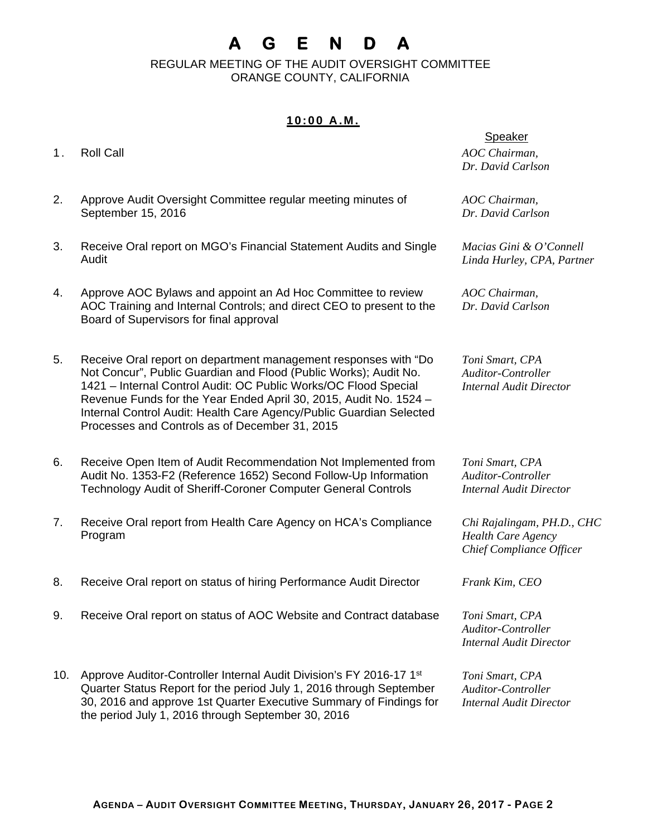# **A G E N D A**

 REGULAR MEETING OF THE AUDIT OVERSIGHT COMMITTEE ORANGE COUNTY, CALIFORNIA

## **10:00 A.M.**

- 
- 2. Approve Audit Oversight Committee regular meeting minutes of September 15, 2016
- 3. Receive Oral report on MGO's Financial Statement Audits and Single Audit
- 4. Approve AOC Bylaws and appoint an Ad Hoc Committee to review AOC Training and Internal Controls; and direct CEO to present to the Board of Supervisors for final approval
- 5. Receive Oral report on department management responses with "Do Not Concur", Public Guardian and Flood (Public Works); Audit No. 1421 – Internal Control Audit: OC Public Works/OC Flood Special Revenue Funds for the Year Ended April 30, 2015, Audit No. 1524 – Internal Control Audit: Health Care Agency/Public Guardian Selected Processes and Controls as of December 31, 2015
- 6. Receive Open Item of Audit Recommendation Not Implemented from Audit No. 1353-F2 (Reference 1652) Second Follow-Up Information Technology Audit of Sheriff-Coroner Computer General Controls
- 7. Receive Oral report from Health Care Agency on HCA's Compliance Program
- 8. Receive Oral report on status of hiring Performance Audit Director *Frank Kim, CEO*
- 9. Receive Oral report on status of AOC Website and Contract database *Toni Smart, CPA*
- 10. Approve Auditor-Controller Internal Audit Division's FY 2016-17 1<sup>st</sup> Quarter Status Report for the period July 1, 2016 through September 30, 2016 and approve 1st Quarter Executive Summary of Findings for the period July 1, 2016 through September 30, 2016

Speaker

1. Roll Call *AOC Chairman, Dr. David Carlson* 

> *AOC Chairman, Dr. David Carlson*

*Macias Gini & O'Connell Linda Hurley, CPA, Partner* 

*AOC Chairman, Dr. David Carlson* 

*Toni Smart, CPA Auditor-Controller Internal Audit Director* 

*Toni Smart, CPA Auditor-Controller Internal Audit Director* 

*Chi Rajalingam, PH.D., CHC Health Care Agency Chief Compliance Officer* 

*Auditor-Controller Internal Audit Director* 

*Toni Smart, CPA Auditor-Controller Internal Audit Director*